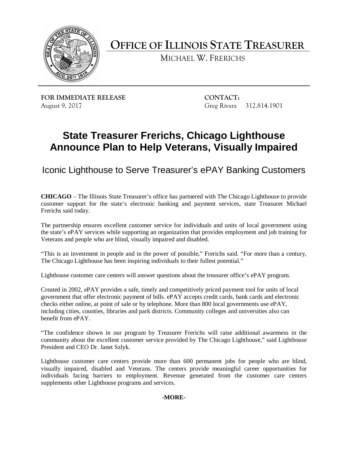

**OFFICE OF ILLINOIS STATE TREASURER** 

MICHAEL W. FRERICHS

**FOR IMMEDIATE RELEASE CONTACT:** August 9, 2017

Greg Rivara 312.814.1901

# **State Treasurer Frerichs, Chicago Lighthouse Announce Plan to Help Veterans, Visually Impaired**

Iconic Lighthouse to Serve Treasurer's ePAY Banking Customers

 **CHICAGO** – The Illinois State Treasurer's office has partnered with The Chicago Lighthouse to provide customer support for the state's electronic banking and payment services, state Treasurer Michael Frerichs said today.

 The partnership ensures excellent customer service for individuals and units of local government using the state's ePAY services while supporting an organization that provides employment and job training for Veterans and people who are blind, visually impaired and disabled.

 "This is an investment in people and in the power of possible," Frerichs said. "For more than a century, The Chicago Lighthouse has been inspiring individuals to their fullest potential."

Lighthouse customer care centers will answer questions about the treasurer office's ePAY program.

 Created in 2002, ePAY provides a safe, timely and competitively priced payment tool for units of local government that offer electronic payment of bills. ePAY accepts credit cards, bank cards and electronic checks either online, at point of sale or by telephone. More than 800 local governments use ePAY, including cities, counties, libraries and park districts. Community colleges and universities also can benefit from ePAY.

 "The confidence shown in our program by Treasurer Frerichs will raise additional awareness in the community about the excellent customer service provided by The Chicago Lighthouse," said Lighthouse President and CEO Dr. Janet Szlyk.

 Lighthouse customer care centers provide more than 600 permanent jobs for people who are blind, visually impaired, disabled and Veterans. The centers provide meaningful career opportunities for individuals facing barriers to employment. Revenue generated from the customer care centers supplements other Lighthouse programs and services.

## **-MORE-**